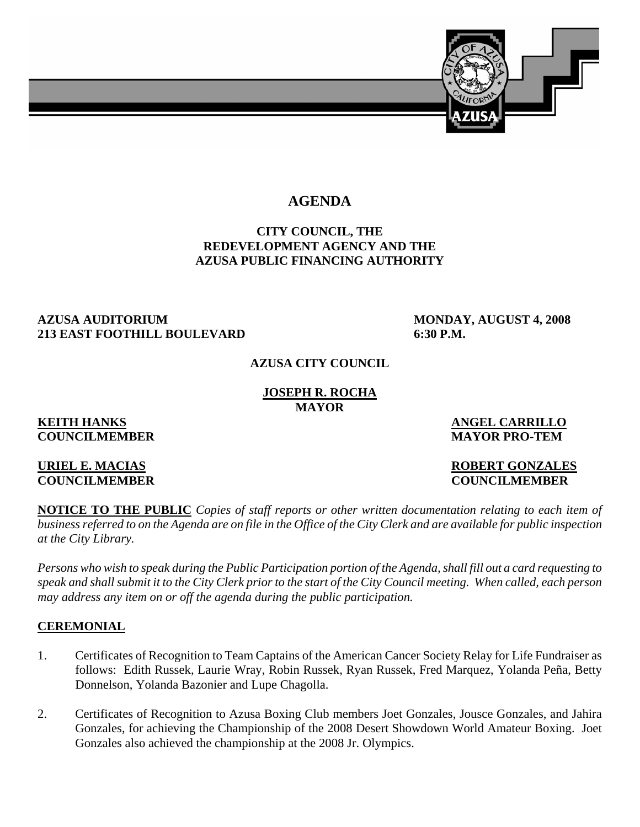

# **AGENDA**

### **CITY COUNCIL, THE REDEVELOPMENT AGENCY AND THE AZUSA PUBLIC FINANCING AUTHORITY**

#### **AZUSA AUDITORIUM MONDAY, AUGUST 4, 2008 213 EAST FOOTHILL BOULEVARD 6:30 P.M.**

#### **AZUSA CITY COUNCIL**

#### **JOSEPH R. ROCHA MAYOR**

# **COUNCILMEMBER MAYOR PRO-TEM**

**KEITH HANKS** ANGEL CARRILLO

#### **URIEL E. MACIAS ROBERT GONZALES COUNCILMEMBER COUNCILMEMBER**

**NOTICE TO THE PUBLIC** *Copies of staff reports or other written documentation relating to each item of business referred to on the Agenda are on file in the Office of the City Clerk and are available for public inspection at the City Library.* 

*Persons who wish to speak during the Public Participation portion of the Agenda, shall fill out a card requesting to speak and shall submit it to the City Clerk prior to the start of the City Council meeting. When called, each person may address any item on or off the agenda during the public participation.*

#### **CEREMONIAL**

- 1. Certificates of Recognition to Team Captains of the American Cancer Society Relay for Life Fundraiser as follows: Edith Russek, Laurie Wray, Robin Russek, Ryan Russek, Fred Marquez, Yolanda Peña, Betty Donnelson, Yolanda Bazonier and Lupe Chagolla.
- 2. Certificates of Recognition to Azusa Boxing Club members Joet Gonzales, Jousce Gonzales, and Jahira Gonzales, for achieving the Championship of the 2008 Desert Showdown World Amateur Boxing. Joet Gonzales also achieved the championship at the 2008 Jr. Olympics.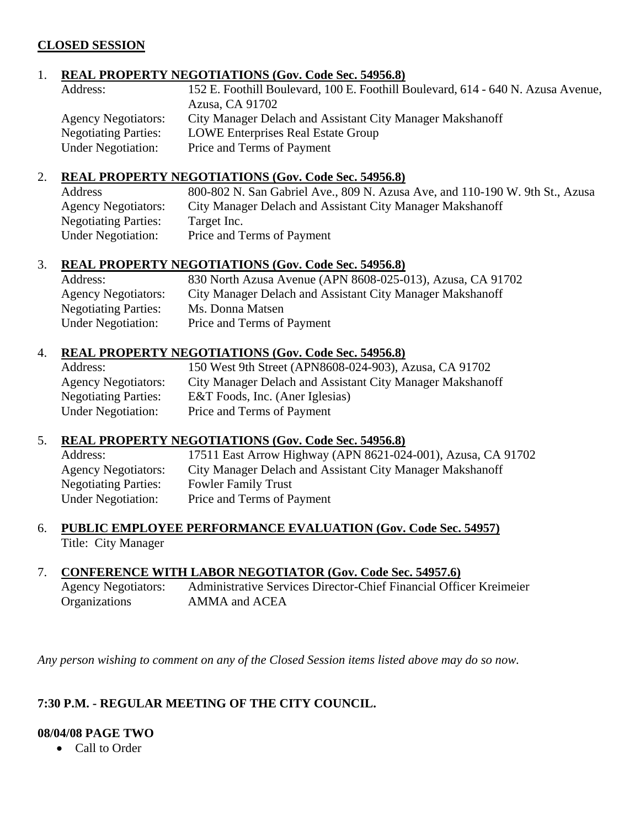#### **CLOSED SESSION**

#### 1. **REAL PROPERTY NEGOTIATIONS (Gov. Code Sec. 54956.8)**

| Address:                    | 152 E. Foothill Boulevard, 100 E. Foothill Boulevard, 614 - 640 N. Azusa Avenue, |
|-----------------------------|----------------------------------------------------------------------------------|
|                             | Azusa, CA 91702                                                                  |
| <b>Agency Negotiators:</b>  | City Manager Delach and Assistant City Manager Makshanoff                        |
| <b>Negotiating Parties:</b> | <b>LOWE Enterprises Real Estate Group</b>                                        |
| <b>Under Negotiation:</b>   | Price and Terms of Payment                                                       |

#### 2. **REAL PROPERTY NEGOTIATIONS (Gov. Code Sec. 54956.8)**

| Address                     | 800-802 N. San Gabriel Ave., 809 N. Azusa Ave, and 110-190 W. 9th St., Azusa |
|-----------------------------|------------------------------------------------------------------------------|
| <b>Agency Negotiators:</b>  | City Manager Delach and Assistant City Manager Makshanoff                    |
| <b>Negotiating Parties:</b> | Target Inc.                                                                  |
| <b>Under Negotiation:</b>   | Price and Terms of Payment                                                   |

#### 3. **REAL PROPERTY NEGOTIATIONS (Gov. Code Sec. 54956.8)**

| Address:                    | 830 North Azusa Avenue (APN 8608-025-013), Azusa, CA 91702 |
|-----------------------------|------------------------------------------------------------|
| <b>Agency Negotiators:</b>  | City Manager Delach and Assistant City Manager Makshanoff  |
| <b>Negotiating Parties:</b> | Ms. Donna Matsen                                           |
| <b>Under Negotiation:</b>   | Price and Terms of Payment                                 |

#### 4. **REAL PROPERTY NEGOTIATIONS (Gov. Code Sec. 54956.8)**

| Address:                    | 150 West 9th Street (APN8608-024-903), Azusa, CA 91702    |
|-----------------------------|-----------------------------------------------------------|
| <b>Agency Negotiators:</b>  | City Manager Delach and Assistant City Manager Makshanoff |
| <b>Negotiating Parties:</b> | E&T Foods, Inc. (Aner Iglesias)                           |
| <b>Under Negotiation:</b>   | Price and Terms of Payment                                |
|                             |                                                           |

#### 5. **REAL PROPERTY NEGOTIATIONS (Gov. Code Sec. 54956.8)**

| Address:                    | 17511 East Arrow Highway (APN 8621-024-001), Azusa, CA 91702 |
|-----------------------------|--------------------------------------------------------------|
| <b>Agency Negotiators:</b>  | City Manager Delach and Assistant City Manager Makshanoff    |
| <b>Negotiating Parties:</b> | <b>Fowler Family Trust</b>                                   |
| <b>Under Negotiation:</b>   | Price and Terms of Payment                                   |

#### 6. **PUBLIC EMPLOYEE PERFORMANCE EVALUATION (Gov. Code Sec. 54957)** Title: City Manager

#### 7. **CONFERENCE WITH LABOR NEGOTIATOR (Gov. Code Sec. 54957.6)**

 Agency Negotiators: Administrative Services Director-Chief Financial Officer Kreimeier Organizations AMMA and ACEA

*Any person wishing to comment on any of the Closed Session items listed above may do so now.* 

#### **7:30 P.M. - REGULAR MEETING OF THE CITY COUNCIL.**

### **08/04/08 PAGE TWO**

• Call to Order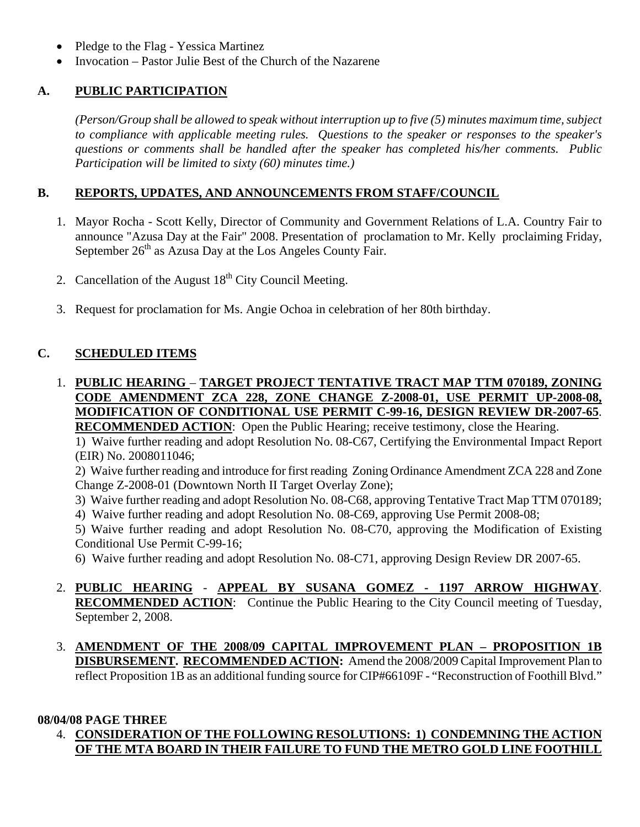- Pledge to the Flag Yessica Martinez
- Invocation Pastor Julie Best of the Church of the Nazarene

# **A. PUBLIC PARTICIPATION**

*(Person/Group shall be allowed to speak without interruption up to five (5) minutes maximum time, subject to compliance with applicable meeting rules. Questions to the speaker or responses to the speaker's questions or comments shall be handled after the speaker has completed his/her comments. Public Participation will be limited to sixty (60) minutes time.)*

# **B. REPORTS, UPDATES, AND ANNOUNCEMENTS FROM STAFF/COUNCIL**

- 1. Mayor Rocha Scott Kelly, Director of Community and Government Relations of L.A. Country Fair to announce "Azusa Day at the Fair" 2008. Presentation of proclamation to Mr. Kelly proclaiming Friday, September  $26<sup>th</sup>$  as Azusa Day at the Los Angeles County Fair.
- 2. Cancellation of the August  $18<sup>th</sup>$  City Council Meeting.
- 3. Request for proclamation for Ms. Angie Ochoa in celebration of her 80th birthday.

# **C. SCHEDULED ITEMS**

1. **PUBLIC HEARING** – **TARGET PROJECT TENTATIVE TRACT MAP TTM 070189, ZONING CODE AMENDMENT ZCA 228, ZONE CHANGE Z-2008-01, USE PERMIT UP-2008-08, MODIFICATION OF CONDITIONAL USE PERMIT C-99-16, DESIGN REVIEW DR-2007-65**. **RECOMMENDED ACTION**: Open the Public Hearing; receive testimony, close the Hearing.

 1) Waive further reading and adopt Resolution No. 08-C67, Certifying the Environmental Impact Report (EIR) No. 2008011046;

 2) Waive further reading and introduce for first reading Zoning Ordinance Amendment ZCA 228 and Zone Change Z-2008-01 (Downtown North II Target Overlay Zone);

- 3) Waive further reading and adopt Resolution No. 08-C68, approving Tentative Tract Map TTM 070189;
- 4) Waive further reading and adopt Resolution No. 08-C69, approving Use Permit 2008-08;

 5) Waive further reading and adopt Resolution No. 08-C70, approving the Modification of Existing Conditional Use Permit C-99-16;

6) Waive further reading and adopt Resolution No. 08-C71, approving Design Review DR 2007-65.

- 2. **PUBLIC HEARING APPEAL BY SUSANA GOMEZ 1197 ARROW HIGHWAY**. **RECOMMENDED ACTION:** Continue the Public Hearing to the City Council meeting of Tuesday, September 2, 2008.
- 3. **AMENDMENT OF THE 2008/09 CAPITAL IMPROVEMENT PLAN PROPOSITION 1B DISBURSEMENT. RECOMMENDED ACTION:** Amend the 2008/2009 Capital Improvement Plan to reflect Proposition 1B as an additional funding source for CIP#66109F - "Reconstruction of Foothill Blvd."

#### **08/04/08 PAGE THREE**

 4. **CONSIDERATION OF THE FOLLOWING RESOLUTIONS: 1) CONDEMNING THE ACTION OF THE MTA BOARD IN THEIR FAILURE TO FUND THE METRO GOLD LINE FOOTHILL**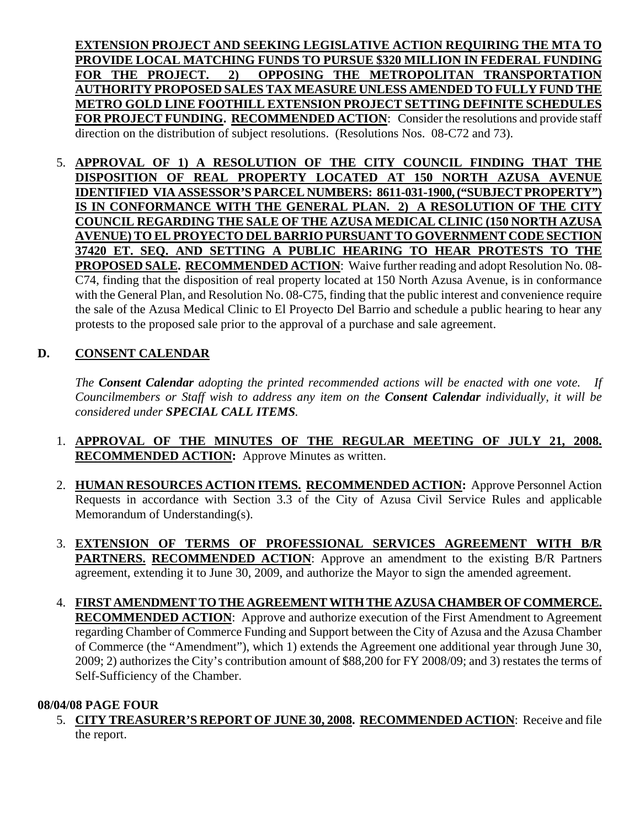**EXTENSION PROJECT AND SEEKING LEGISLATIVE ACTION REQUIRING THE MTA TO PROVIDE LOCAL MATCHING FUNDS TO PURSUE \$320 MILLION IN FEDERAL FUNDING FOR THE PROJECT. 2) OPPOSING THE METROPOLITAN TRANSPORTATION AUTHORITY PROPOSED SALES TAX MEASURE UNLESS AMENDED TO FULLY FUND THE METRO GOLD LINE FOOTHILL EXTENSION PROJECT SETTING DEFINITE SCHEDULES FOR PROJECT FUNDING. RECOMMENDED ACTION:** Consider the resolutions and provide staff direction on the distribution of subject resolutions. (Resolutions Nos. 08-C72 and 73).

 5. **APPROVAL OF 1) A RESOLUTION OF THE CITY COUNCIL FINDING THAT THE DISPOSITION OF REAL PROPERTY LOCATED AT 150 NORTH AZUSA AVENUE IDENTIFIED VIA ASSESSOR'S PARCEL NUMBERS: 8611-031-1900, ("SUBJECT PROPERTY") IS IN CONFORMANCE WITH THE GENERAL PLAN. 2) A RESOLUTION OF THE CITY COUNCIL REGARDING THE SALE OF THE AZUSA MEDICAL CLINIC (150 NORTH AZUSA AVENUE) TO EL PROYECTO DEL BARRIO PURSUANT TO GOVERNMENT CODE SECTION 37420 ET. SEQ. AND SETTING A PUBLIC HEARING TO HEAR PROTESTS TO THE PROPOSED SALE. RECOMMENDED ACTION**: Waive further reading and adopt Resolution No. 08- C74, finding that the disposition of real property located at 150 North Azusa Avenue, is in conformance with the General Plan, and Resolution No. 08-C75, finding that the public interest and convenience require the sale of the Azusa Medical Clinic to El Proyecto Del Barrio and schedule a public hearing to hear any protests to the proposed sale prior to the approval of a purchase and sale agreement.

# **D. CONSENT CALENDAR**

*The Consent Calendar adopting the printed recommended actions will be enacted with one vote. If Councilmembers or Staff wish to address any item on the Consent Calendar individually, it will be considered under SPECIAL CALL ITEMS.* 

- 1. **APPROVAL OF THE MINUTES OF THE REGULAR MEETING OF JULY 21, 2008. RECOMMENDED ACTION:** Approve Minutes as written.
- 2. **HUMAN RESOURCES ACTION ITEMS. RECOMMENDED ACTION:** Approve Personnel Action Requests in accordance with Section 3.3 of the City of Azusa Civil Service Rules and applicable Memorandum of Understanding(s).
- 3. **EXTENSION OF TERMS OF PROFESSIONAL SERVICES AGREEMENT WITH B/R PARTNERS. RECOMMENDED ACTION**: Approve an amendment to the existing B/R Partners agreement, extending it to June 30, 2009, and authorize the Mayor to sign the amended agreement.
- 4. **FIRST AMENDMENT TO THE AGREEMENT WITH THE AZUSA CHAMBER OF COMMERCE. RECOMMENDED ACTION**: Approve and authorize execution of the First Amendment to Agreement regarding Chamber of Commerce Funding and Support between the City of Azusa and the Azusa Chamber of Commerce (the "Amendment"), which 1) extends the Agreement one additional year through June 30, 2009; 2) authorizes the City's contribution amount of \$88,200 for FY 2008/09; and 3) restates the terms of Self-Sufficiency of the Chamber.

#### **08/04/08 PAGE FOUR**

 5. **CITY TREASURER'S REPORT OF JUNE 30, 2008. RECOMMENDED ACTION**: Receive and file the report.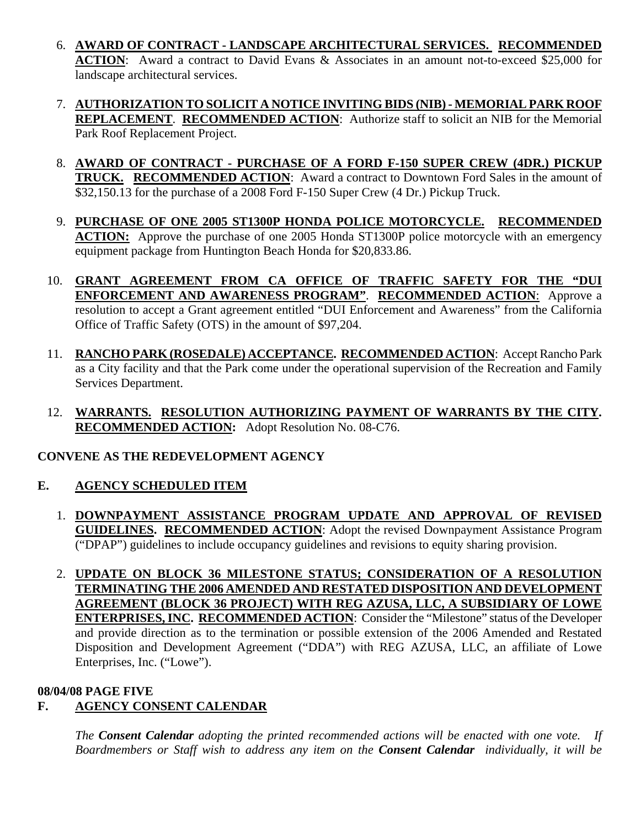- 6. **AWARD OF CONTRACT LANDSCAPE ARCHITECTURAL SERVICES. RECOMMENDED ACTION**: Award a contract to David Evans & Associates in an amount not-to-exceed \$25,000 for landscape architectural services.
- 7. **AUTHORIZATION TO SOLICIT A NOTICE INVITING BIDS (NIB) MEMORIAL PARK ROOF REPLACEMENT**. **RECOMMENDED ACTION**: Authorize staff to solicit an NIB for the Memorial Park Roof Replacement Project.
- 8. **AWARD OF CONTRACT PURCHASE OF A FORD F-150 SUPER CREW (4DR.) PICKUP TRUCK. RECOMMENDED ACTION**: Award a contract to Downtown Ford Sales in the amount of \$32,150.13 for the purchase of a 2008 Ford F-150 Super Crew (4 Dr.) Pickup Truck.
- 9. **PURCHASE OF ONE 2005 ST1300P HONDA POLICE MOTORCYCLE. RECOMMENDED ACTION:** Approve the purchase of one 2005 Honda ST1300P police motorcycle with an emergency equipment package from Huntington Beach Honda for \$20,833.86.
- 10. **GRANT AGREEMENT FROM CA OFFICE OF TRAFFIC SAFETY FOR THE "DUI ENFORCEMENT AND AWARENESS PROGRAM"**. **RECOMMENDED ACTION**: Approve a resolution to accept a Grant agreement entitled "DUI Enforcement and Awareness" from the California Office of Traffic Safety (OTS) in the amount of \$97,204.
- 11. **RANCHO PARK (ROSEDALE) ACCEPTANCE. RECOMMENDED ACTION**: Accept Rancho Park as a City facility and that the Park come under the operational supervision of the Recreation and Family Services Department.
- 12. **WARRANTS. RESOLUTION AUTHORIZING PAYMENT OF WARRANTS BY THE CITY. RECOMMENDED ACTION:** Adopt Resolution No. 08-C76.

# **CONVENE AS THE REDEVELOPMENT AGENCY**

# **E. AGENCY SCHEDULED ITEM**

- 1. **DOWNPAYMENT ASSISTANCE PROGRAM UPDATE AND APPROVAL OF REVISED GUIDELINES. RECOMMENDED ACTION**: Adopt the revised Downpayment Assistance Program ("DPAP") guidelines to include occupancy guidelines and revisions to equity sharing provision.
- 2. **UPDATE ON BLOCK 36 MILESTONE STATUS; CONSIDERATION OF A RESOLUTION TERMINATING THE 2006 AMENDED AND RESTATED DISPOSITION AND DEVELOPMENT AGREEMENT (BLOCK 36 PROJECT) WITH REG AZUSA, LLC, A SUBSIDIARY OF LOWE ENTERPRISES, INC. RECOMMENDED ACTION**: Consider the "Milestone" status of the Developer and provide direction as to the termination or possible extension of the 2006 Amended and Restated Disposition and Development Agreement ("DDA") with REG AZUSA, LLC, an affiliate of Lowe Enterprises, Inc. ("Lowe").

#### **08/04/08 PAGE FIVE**

# **F. AGENCY CONSENT CALENDAR**

 *The Consent Calendar adopting the printed recommended actions will be enacted with one vote. If Boardmembers or Staff wish to address any item on the Consent Calendar individually, it will be*